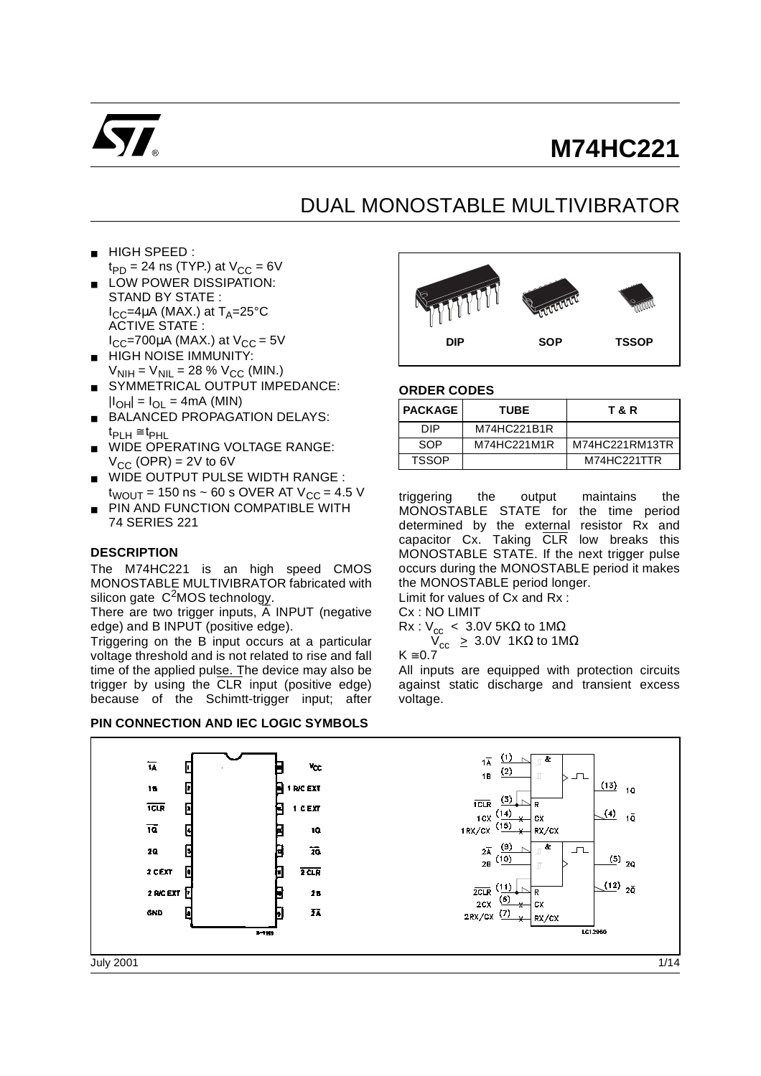

# **M74HC221**

## DUAL MONOSTABLE MULTIVIBRATOR

- HIGH SPEED :  $t_{PD}$  = 24 ns (TYP.) at  $V_{CC}$  = 6V
- LOW POWER DISSIPATION: STAND BY STATE :  $I_{CC}$ =4µA (MAX.) at T<sub>A</sub>=25°C ACTIVE STATE :  $I_{CC}$ =700µA (MAX.) at  $V_{CC}$  = 5V
- **HIGH NOISE IMMUNITY:**  $V_{\text{NIH}} = V_{\text{NIL}} = 28 \% V_{\text{CC}}$  (MIN.)
- SYMMETRICAL OUTPUT IMPEDANCE:  $|I_{OH}| = I_{OL} = 4mA$  (MIN)
- BALANCED PROPAGATION DELAYS: tPLH ≅ tPHL
- WIDE OPERATING VOLTAGE RANGE:  $V_{CC}$  (OPR) = 2V to 6V
- WIDE OUTPUT PULSE WIDTH RANGE :  $t_{WOUT}$  = 150 ns  $\sim$  60 s OVER AT V<sub>CC</sub> = 4.5 V
- PIN AND FUNCTION COMPATIBLE WITH 74 SERIES 221

#### **DESCRIPTION**

The M74HC221 is an high speed CMOS MONOSTABLE MULTIVIBRATOR fabricated with silicon gate  $C^2$ MOS technology.

There are two trigger inputs,  $\overline{A}$  INPUT (negative edge) and B INPUT (positive edge).

Triggering on the B input occurs at a particular voltage threshold and is not related to rise and fall time of the applied pulse. The device may also be trigger by using the CLR input (positive edge) because of the Schimtt-trigger input; after

#### **PIN CONNECTION AND IEC LOGIC SYMBOLS**



#### **ORDER CODES**

| <b>I PACKAGE</b> | <b>TUBE</b> | T & R          |
|------------------|-------------|----------------|
| DIP.             | M74HC221B1R |                |
| SOP              | M74HC221M1R | M74HC221RM13TR |
| <b>TSSOP</b>     |             | M74HC221TTR    |

triggering the output maintains the MONOSTABLE STATE for the time period determined by the external resistor Rx and capacitor Cx. Taking CLR low breaks this MONOSTABLE STATE. If the next trigger pulse occurs during the MONOSTABLE period it makes the MONOSTABLE period longer. Limit for values of Cx and Rx :

Cx : NO LIMIT

 $Rx : V_{cc}$  < 3.0V 5KΩ to 1MΩ

 $V_{cc} \geq 3.0V$  1KΩ to 1MΩ

$$
K\cong 0.7
$$

All inputs are equipped with protection circuits against static discharge and transient excess voltage.

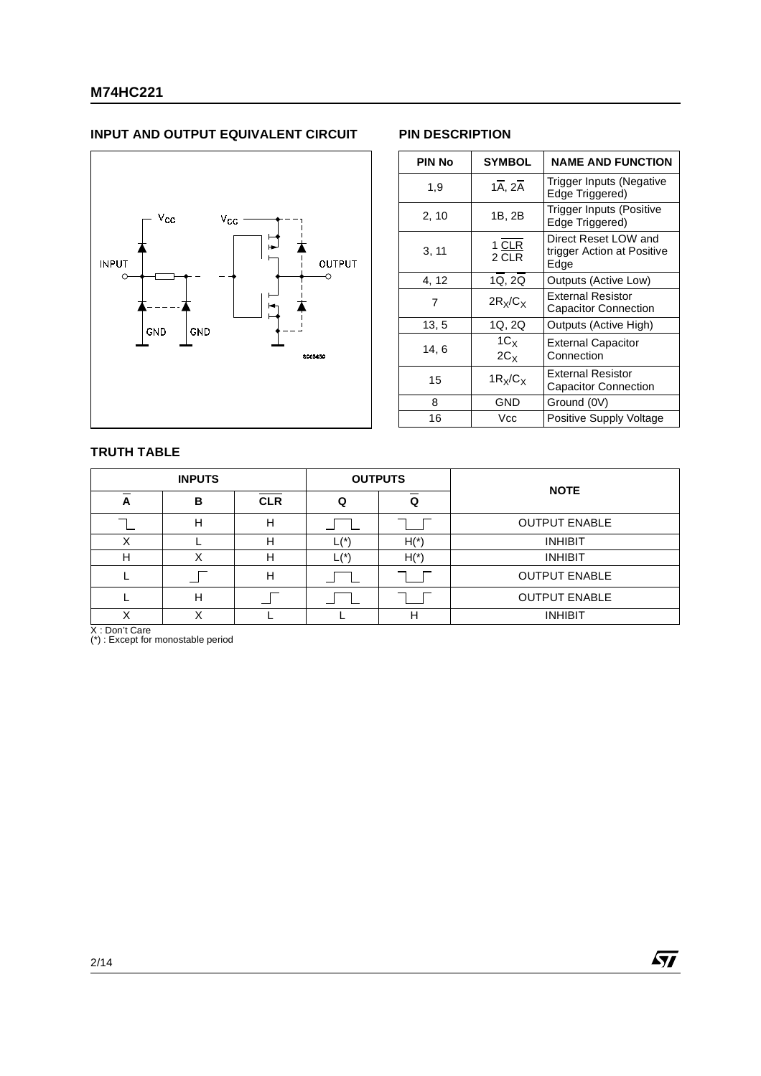#### **INPUT AND OUTPUT EQUIVALENT CIRCUIT PIN DESCRIPTION**



| PIN No | <b>SYMBOL</b>                     | <b>NAME AND FUNCTION</b>                                   |
|--------|-----------------------------------|------------------------------------------------------------|
| 1,9    | $1\overline{A}$ , $2\overline{A}$ | Trigger Inputs (Negative<br>Edge Triggered)                |
| 2, 10  | 1B, 2B                            | Trigger Inputs (Positive<br>Edge Triggered)                |
| 3, 11  | 1 CLR<br>2 CLR                    | Direct Reset LOW and<br>trigger Action at Positive<br>Edge |
| 4, 12  | 1Q, 2Q                            | Outputs (Active Low)                                       |
| 7      | $2R_x/C_x$                        | <b>External Resistor</b><br><b>Capacitor Connection</b>    |
| 13, 5  | 1Q, 2Q                            | Outputs (Active High)                                      |
| 14,6   | $1C_X$<br>$2C_X$                  | <b>External Capacitor</b><br>Connection                    |
| 15     | $1R_X/C_X$                        | <b>External Resistor</b><br><b>Capacitor Connection</b>    |
| 8      | GND                               | Ground (0V)                                                |
| 16     | Vcc                               | Positive Supply Voltage                                    |

#### **TRUTH TABLE**

|   | <b>INPUTS</b> |            | <b>OUTPUTS</b>           |      | <b>NOTE</b>          |  |  |  |
|---|---------------|------------|--------------------------|------|----------------------|--|--|--|
| A | в             | <b>CLR</b> | Q                        | O    |                      |  |  |  |
|   | н             | н          |                          |      | <b>OUTPUT ENABLE</b> |  |  |  |
| Χ |               | н          | $_{-}(^{\star})$         | $H*$ | <b>INHIBIT</b>       |  |  |  |
| н |               | н          | $_{\mathsf{L}}^{(\ast)}$ | $H*$ | <b>INHIBIT</b>       |  |  |  |
|   |               | н          |                          |      | <b>OUTPUT ENABLE</b> |  |  |  |
|   | н             |            |                          |      | <b>OUTPUT ENABLE</b> |  |  |  |
|   |               |            |                          | н    | <b>INHIBIT</b>       |  |  |  |

X : Don't Care (\*) : Except for monostable period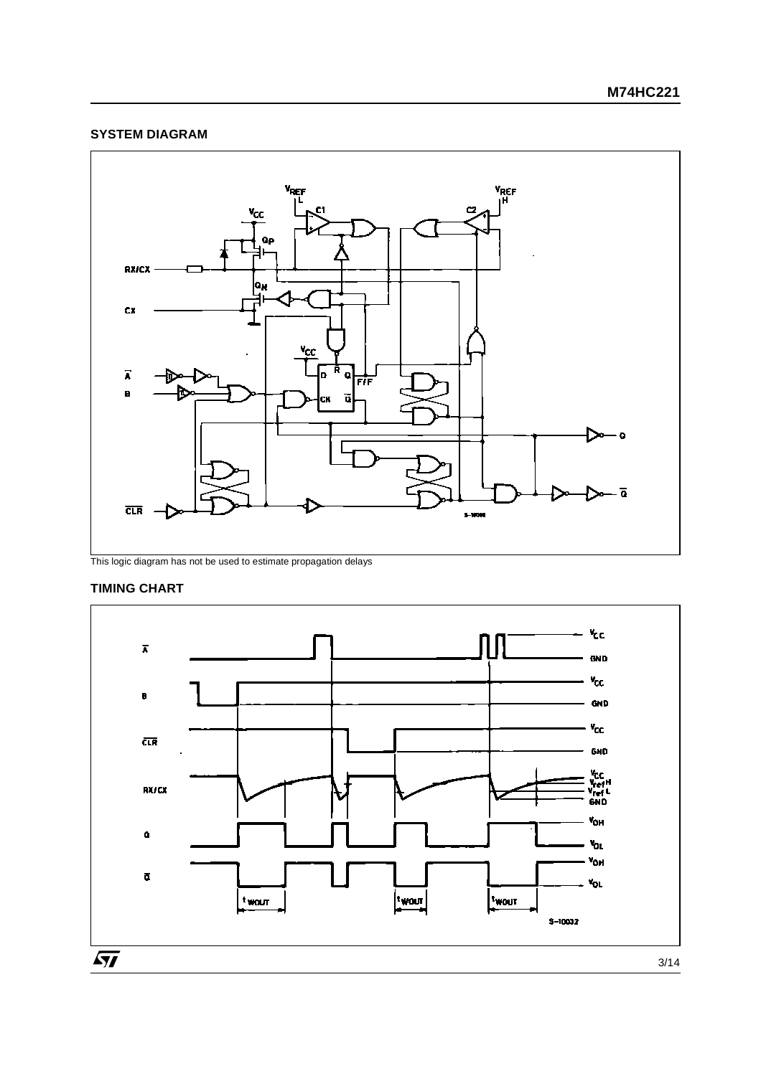#### **SYSTEM DIAGRAM**



This logic diagram has not be used to estimate propagation delays

#### **TIMING CHART**

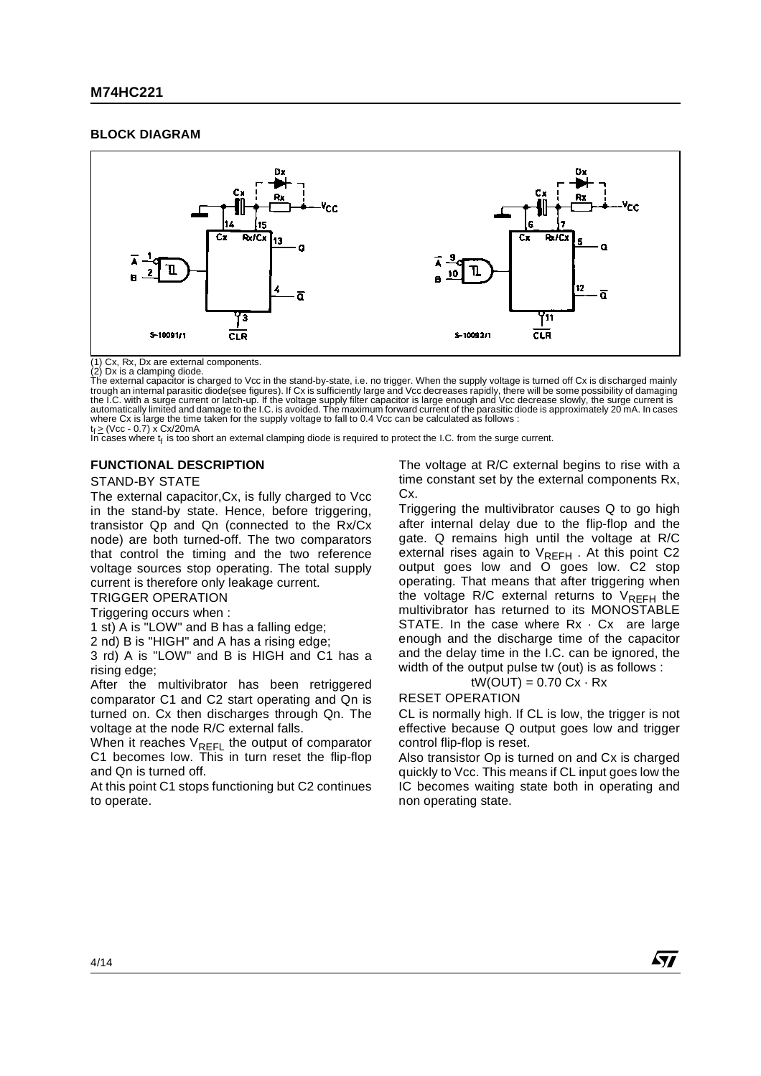#### **BLOCK DIAGRAM**



(1) Cx, Rx, Dx are external components. (2) Dx is a clamping diode.

The external capacitor is charged to Vcc in the stand-by-state, i.e. no trigger. When the supply voltage is turned off Cx is di scharged mainly trough an internal parasitic diode(see figures). If Cx is sufficiently large and Vcc decreases rapidly, there will be some possibility of damaging<br>the I.C. with a surge current or latch-up. If the voltage supply filter cap where Cx is large the time taken for the supply voltage to fall to 0.4 Vcc can be calculated as follows :  $t_f \geq$  (Vcc - 0.7) x Cx/20mA

In cases where  $t_f$  is too short an external clamping diode is required to protect the I.C. from the surge current.

#### **FUNCTIONAL DESCRIPTION**

#### STAND-BY STATE

The external capacitor,Cx, is fully charged to Vcc in the stand-by state. Hence, before triggering, transistor Qp and Qn (connected to the Rx/Cx node) are both turned-off. The two comparators that control the timing and the two reference voltage sources stop operating. The total supply current is therefore only leakage current.

TRIGGER OPERATION

Triggering occurs when :

1 st) A is "LOW" and B has a falling edge;

2 nd) B is "HIGH" and A has a rising edge;

3 rd) A is "LOW" and B is HIGH and C1 has a rising edge;

After the multivibrator has been retriggered comparator C1 and C2 start operating and Qn is turned on. Cx then discharges through Qn. The voltage at the node R/C external falls.

When it reaches  $V_{REFL}$  the output of comparator C1 becomes low. This in turn reset the flip-flop and Qn is turned off.

At this point C1 stops functioning but C2 continues to operate.

The voltage at R/C external begins to rise with a time constant set by the external components Rx, Cx.

Triggering the multivibrator causes Q to go high after internal delay due to the flip-flop and the gate. Q remains high until the voltage at R/C external rises again to  $V_{RFFH}$ . At this point C2 output goes low and O goes low. C2 stop operating. That means that after triggering when the voltage R/C external returns to  $V_{REFH}$  the multivibrator has returned to its MONOSTABLE STATE. In the case where  $Rx \cdot Cx$  are large enough and the discharge time of the capacitor and the delay time in the I.C. can be ignored, the width of the output pulse tw (out) is as follows :

#### $tW(OUT) = 0.70$   $Cx \cdot Rx$

RESET OPERATION

CL is normally high. If CL is low, the trigger is not effective because Q output goes low and trigger control flip-flop is reset.

Also transistor Op is turned on and Cx is charged quickly to Vcc. This means if CL input goes low the IC becomes waiting state both in operating and non operating state.

57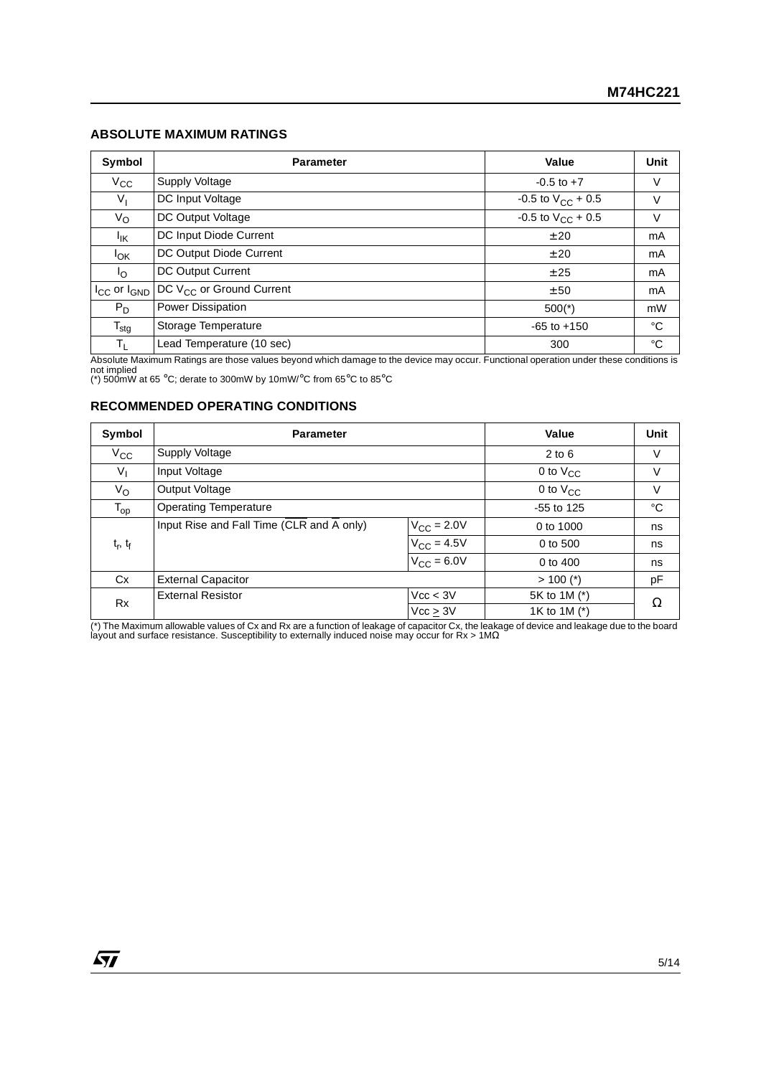#### **ABSOLUTE MAXIMUM RATINGS**

| Symbol                | <b>Parameter</b>                     | Value                    | Unit           |
|-----------------------|--------------------------------------|--------------------------|----------------|
| $V_{CC}$              | Supply Voltage                       | $-0.5$ to $+7$           | V              |
| $V_{I}$               | DC Input Voltage                     | -0.5 to $V_{CC}$ + 0.5   | V              |
| $V_{\rm O}$           | DC Output Voltage                    | $-0.5$ to $V_{CC}$ + 0.5 | V              |
| ŀικ                   | DC Input Diode Current               | ± 20                     | mA             |
| <sup>I</sup> OK       | DC Output Diode Current              | ± 20                     | m <sub>A</sub> |
| $I_{\Omega}$          | DC Output Current                    | ± 25                     | mA             |
| $I_{CC}$ or $I_{GND}$ | DC V <sub>CC</sub> or Ground Current | ± 50                     | mA             |
| $P_D$                 | <b>Power Dissipation</b>             | $500(*)$                 | mW             |
| $T_{\text{stg}}$      | Storage Temperature                  | $-65$ to $+150$          | °C             |
| TL                    | Lead Temperature (10 sec)            | 300                      | °C             |

Absolute Maximum Ratings are those values beyond which damage to the device may occur. Functional operation under these conditions is<br>not implied<br>(\*) 500mW at 65 °C; derate to 300mW by 10mW/°C from 65°C to 85°C

#### **RECOMMENDED OPERATING CONDITIONS**

| Symbol         | <b>Parameter</b>                          |                        | Value         | Unit |
|----------------|-------------------------------------------|------------------------|---------------|------|
| $V_{\rm CC}$   | <b>Supply Voltage</b>                     |                        | $2$ to 6      | V    |
| V <sub>I</sub> | Input Voltage                             |                        | 0 to $V_{CC}$ | V    |
| $V_{\rm O}$    | Output Voltage                            |                        | 0 to $V_{CC}$ | V    |
| $T_{op}$       | <b>Operating Temperature</b>              |                        | $-55$ to 125  | °C   |
|                | Input Rise and Fall Time (CLR and A only) | $V_{\rm CC}$ = 2.0V    | 0 to 1000     | ns   |
| $t_r$ , $t_f$  |                                           | $V_{\rm CC} = 4.5V$    | 0 to 500      | ns   |
|                |                                           | $V_{\text{CC}}$ = 6.0V | 0 to 400      | ns   |
| Cx             | <b>External Capacitor</b>                 |                        | $> 100$ (*)   | pF   |
| <b>Rx</b>      | <b>External Resistor</b>                  | Vcc < 3V               | 5K to 1M (*)  | Ω    |
|                |                                           | Vcc > 3V               | 1K to 1M (*)  |      |

(\*) The Maximum allowable values of Cx and Rx are a function of leakage of capacitor Cx, the leakage of device and leakage due to the board<br>layout and surface resistance. Susceptibility to externally induced noise may occ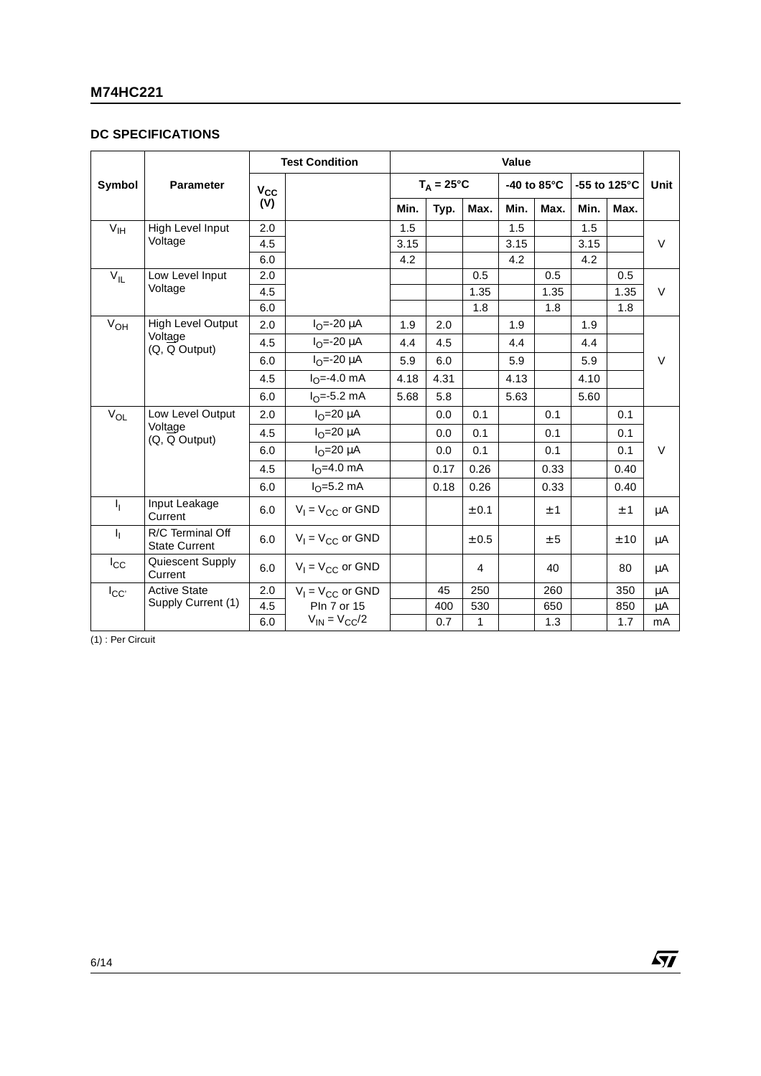#### **DC SPECIFICATIONS**

|                 |                                          |                | <b>Test Condition</b>    |      |                     |           | Value       |      |              |        |        |
|-----------------|------------------------------------------|----------------|--------------------------|------|---------------------|-----------|-------------|------|--------------|--------|--------|
| Symbol          | <b>Parameter</b>                         | $V_{CC}$       |                          |      | $T_A = 25^{\circ}C$ |           | -40 to 85°C |      | -55 to 125°C |        | Unit   |
|                 |                                          | (V)            |                          | Min. | Typ.                | Max.      | Min.        | Max. | Min.         | Max.   |        |
| V <sub>IH</sub> | High Level Input                         | 2.0            |                          | 1.5  |                     |           | 1.5         |      | 1.5          |        |        |
|                 | Voltage                                  | 4.5            |                          | 3.15 |                     |           | 3.15        |      | 3.15         |        | $\vee$ |
|                 |                                          | 6.0            |                          | 4.2  |                     |           | 4.2         |      | 4.2          |        |        |
| $V_{\rm H}$     | Low Level Input                          | 2.0            |                          |      |                     | 0.5       |             | 0.5  |              | 0.5    |        |
|                 | Voltage                                  | 4.5            |                          |      |                     | 1.35      |             | 1.35 |              | 1.35   | $\vee$ |
|                 |                                          | 6.0            |                          |      |                     | 1.8       |             | 1.8  |              | 1.8    |        |
| $V_{OH}$        | <b>High Level Output</b>                 | 2.0            | $I_{\Omega} = -20 \mu A$ | 1.9  | 2.0                 |           | 1.9         |      | 1.9          |        |        |
|                 | Voltage<br>(Q, Q Output)                 | 4.5            | $I_{\Omega} = -20 \mu A$ | 4.4  | 4.5                 |           | 4.4         |      | 4.4          |        |        |
|                 | 6.0                                      | $IO=-20 \mu A$ | 5.9                      | 6.0  |                     | 5.9       |             | 5.9  |              | $\vee$ |        |
|                 |                                          | 4.5            | $I_{\Omega} = -4.0$ mA   | 4.18 | 4.31                |           | 4.13        |      | 4.10         |        |        |
|                 |                                          | 6.0            | $I_{\Omega} = -5.2$ mA   | 5.68 | 5.8                 |           | 5.63        |      | 5.60         |        |        |
| $V_{OL}$        | Low Level Output                         | 2.0            | $I_{\Omega}$ =20 µA      |      | 0.0                 | 0.1       |             | 0.1  |              | 0.1    |        |
|                 | Voltage<br>(Q, Q Output)                 | 4.5            | $IO=20 \mu A$            |      | 0.0                 | 0.1       |             | 0.1  |              | 0.1    |        |
|                 |                                          | 6.0            | $IO=20 \mu A$            |      | 0.0                 | 0.1       |             | 0.1  |              | 0.1    | $\vee$ |
|                 |                                          | 4.5            | $IO=4.0$ mA              |      | 0.17                | 0.26      |             | 0.33 |              | 0.40   |        |
|                 |                                          | 6.0            | $I_{\Omega} = 5.2$ mA    |      | 0.18                | 0.26      |             | 0.33 |              | 0.40   |        |
| ı,              | Input Leakage<br>Current                 | 6.0            | $V_1 = V_{CC}$ or GND    |      |                     | ± 0.1     |             | ±1   |              | ±1     | μA     |
| Τ,              | R/C Terminal Off<br><b>State Current</b> | 6.0            | $V_1 = V_{CC}$ or GND    |      |                     | $\pm$ 0.5 |             | ± 5  |              | ±10    | μA     |
| $I_{\rm CC}$    | Quiescent Supply<br>Current              | 6.0            | $V_1 = V_{CC}$ or GND    |      |                     | 4         |             | 40   |              | 80     | μA     |
| $I_{CC'}$       | <b>Active State</b>                      | 2.0            | $V_1 = V_{CC}$ or GND    |      | 45                  | 250       |             | 260  |              | 350    | μA     |
|                 | Supply Current (1)                       | 4.5            | <b>Pln 7 or 15</b>       |      | 400                 | 530       |             | 650  |              | 850    | μA     |
|                 |                                          | 6.0            | $V_{IN} = V_{CC}/2$      |      | 0.7                 | 1         |             | 1.3  |              | 1.7    | mA     |

(1) : Per Circuit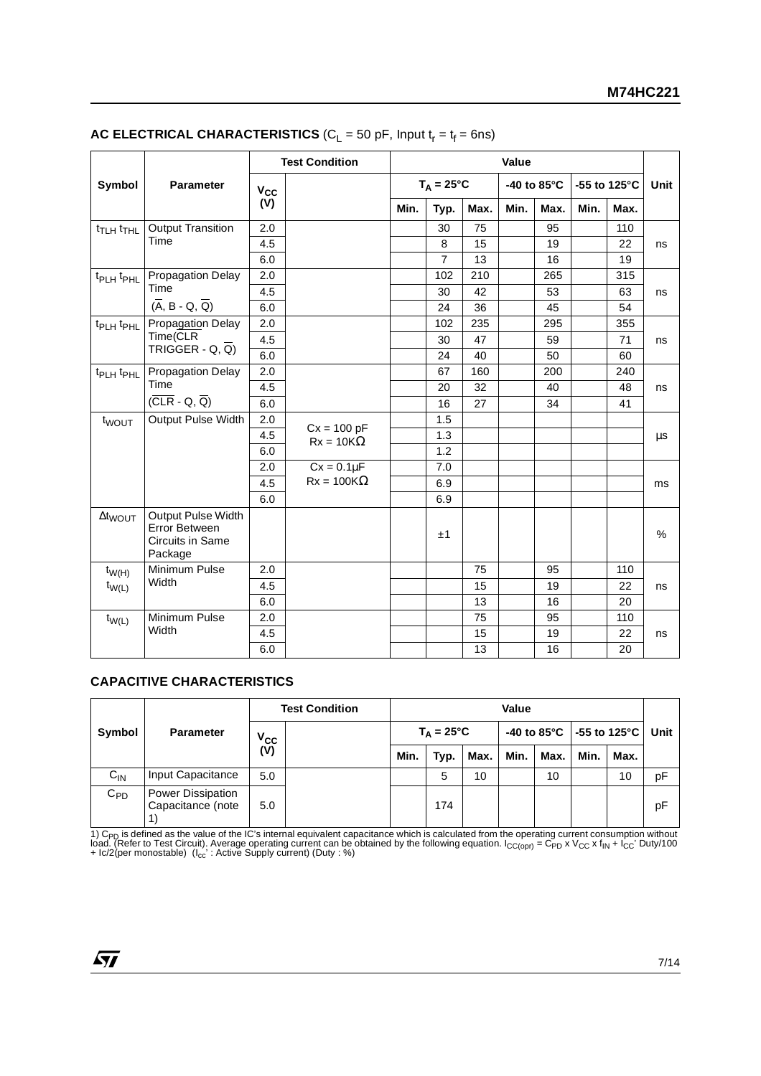|                                           |                                                                           | <b>Test Condition</b><br>Value |                   |      |                     |      |      |             |              |     |             |
|-------------------------------------------|---------------------------------------------------------------------------|--------------------------------|-------------------|------|---------------------|------|------|-------------|--------------|-----|-------------|
| Symbol                                    | <b>Parameter</b>                                                          | $V_{CC}$                       |                   |      | $T_A = 25^{\circ}C$ |      |      | -40 to 85°C | -55 to 125°C |     | <b>Unit</b> |
|                                           | (V)                                                                       |                                | Min.              | Typ. | Max.                | Min. | Max. | Min.        | Max.         |     |             |
| t <sub>TLH</sub> t <sub>THL</sub>         | <b>Output Transition</b>                                                  | 2.0                            |                   |      | 30                  | 75   |      | 95          |              | 110 |             |
|                                           | Time                                                                      | 4.5                            |                   |      | 8                   | 15   |      | 19          |              | 22  | ns          |
|                                           |                                                                           | 6.0                            |                   |      | $\overline{7}$      | 13   |      | 16          |              | 19  |             |
| t <sub>PLH</sub> t <sub>PHL</sub>         | <b>Propagation Delay</b>                                                  | 2.0                            |                   |      | 102                 | 210  |      | 265         |              | 315 |             |
|                                           | Time                                                                      | 4.5                            |                   |      | 30                  | 42   |      | 53          |              | 63  | ns          |
| $(\overline{A}, B - Q, \overline{Q})$     | 6.0                                                                       |                                |                   | 24   | 36                  |      | 45   |             | 54           |     |             |
| t <sub>PLH</sub> t <sub>PHL</sub>         | Propagation Delay                                                         | 2.0                            |                   |      | 102                 | 235  |      | 295         |              | 355 |             |
| Time(CLR<br>TRIGGER - Q, $\overline{Q}$ ) | 4.5                                                                       |                                |                   | 30   | 47                  |      | 59   |             | 71           | ns  |             |
|                                           | 6.0                                                                       |                                |                   | 24   | 40                  |      | 50   |             | 60           |     |             |
| t <sub>PLH</sub> t <sub>PHL</sub>         | <b>Propagation Delay</b>                                                  | 2.0                            |                   |      | 67                  | 160  |      | 200         |              | 240 |             |
| Time                                      | 4.5                                                                       |                                |                   | 20   | 32                  |      | 40   |             | 48           | ns  |             |
|                                           | $(\overline{CLR} - Q, \overline{Q})$                                      | 6.0                            |                   |      | 16                  | 27   |      | 34          |              | 41  |             |
| t <sub>WOUT</sub>                         | Output Pulse Width                                                        | 2.0                            | $Cx = 100 pF$     |      | 1.5                 |      |      |             |              |     |             |
|                                           |                                                                           | 4.5                            | $Rx = 10K\Omega$  |      | 1.3                 |      |      |             |              |     | μs          |
|                                           |                                                                           | 6.0                            |                   |      | 1.2                 |      |      |             |              |     |             |
|                                           |                                                                           | 2.0                            | $Cx = 0.1\mu F$   |      | 7.0                 |      |      |             |              |     |             |
|                                           |                                                                           | 4.5                            | $Rx = 100K\Omega$ |      | 6.9                 |      |      |             |              |     | ms          |
|                                           |                                                                           | 6.0                            |                   |      | 6.9                 |      |      |             |              |     |             |
| $\Delta t_{\text{WOUT}}$                  | Output Pulse Width<br>Error Between<br><b>Circuits in Same</b><br>Package |                                |                   |      | ±1                  |      |      |             |              |     | %           |
| $t_{W(H)}$                                | Minimum Pulse                                                             | 2.0                            |                   |      |                     | 75   |      | 95          |              | 110 |             |
| $t_{W(L)}$                                | Width                                                                     | 4.5                            |                   |      |                     | 15   |      | 19          |              | 22  | ns          |
|                                           |                                                                           | 6.0                            |                   |      |                     | 13   |      | 16          |              | 20  |             |
| $t_{W(L)}$                                | Minimum Pulse                                                             | 2.0                            |                   |      |                     | 75   |      | 95          |              | 110 |             |
|                                           | Width                                                                     | 4.5                            |                   |      |                     | 15   |      | 19          |              | 22  | ns          |
|                                           |                                                                           | 6.0                            |                   |      |                     | 13   |      | 16          |              | 20  |             |

#### **AC ELECTRICAL CHARACTERISTICS** ( $C_L$  = 50 pF, Input  $t_r = t_f = 6$ ns)

### **CAPACITIVE CHARACTERISTICS**

|                            |                                        | <b>Test Condition</b> |  | Value               |      |      |      |      |                            |      |      |
|----------------------------|----------------------------------------|-----------------------|--|---------------------|------|------|------|------|----------------------------|------|------|
| Symbol<br><b>Parameter</b> |                                        | $V_{\rm CC}$          |  | $T_A = 25^{\circ}C$ |      |      |      |      | -40 to 85°C   -55 to 125°C |      | Unit |
|                            |                                        | (V)                   |  | Min.                | Typ. | Max. | Min. | Max. | Min.                       | Max. |      |
| $C_{IN}$                   | Input Capacitance                      | 5.0                   |  |                     | 5    | 10   |      | 10   |                            | 10   | pF   |
| $C_{PD}$                   | Power Dissipation<br>Capacitance (note | 5.0                   |  |                     | 174  |      |      |      |                            |      | pF   |

1) C<sub>PD</sub> is defined as the value of the IC's internal equivalent capacitance which is calculated from the operating current consumption without<br>load. (Refer to Test Circuit). Average operating current can be obtained by th

 $\sqrt{27}$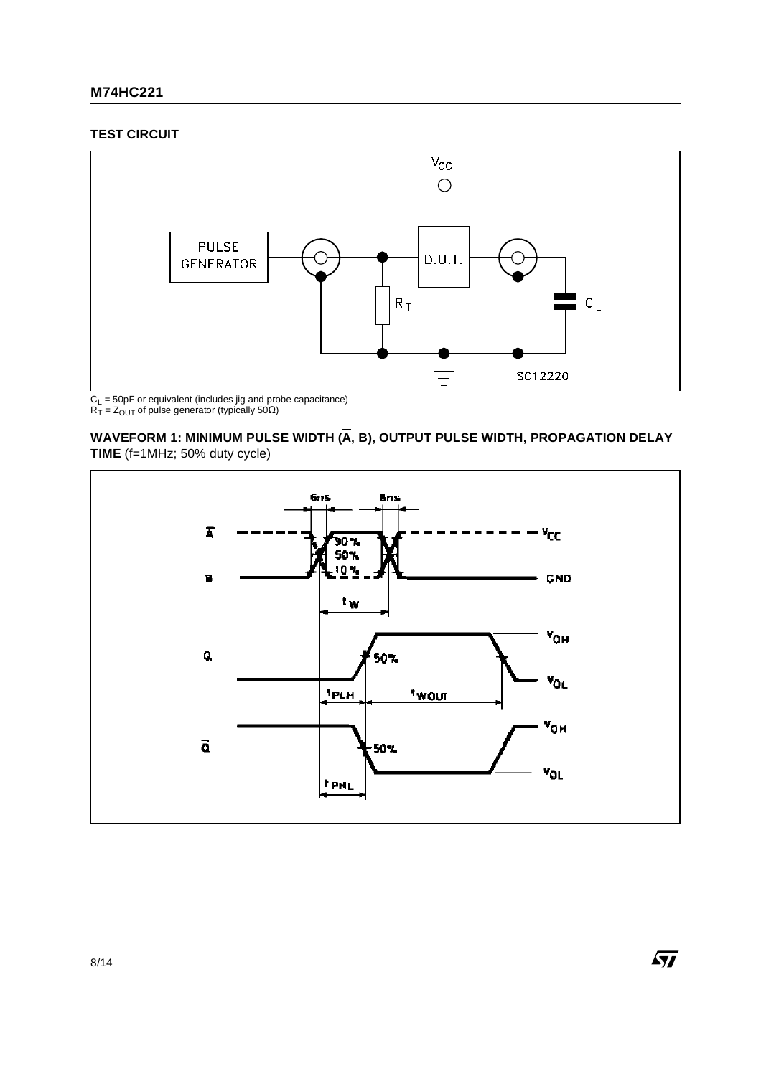#### **TEST CIRCUIT**



 $R_T = Z_{OUT}$  of pulse generator (typically 50 $\Omega$ )

WAVEFORM 1: MINIMUM PULSE WIDTH (A, B), OUTPUT PULSE WIDTH, PROPAGATION DELAY **TIME** (f=1MHz; 50% duty cycle)



 $\sqrt{M}$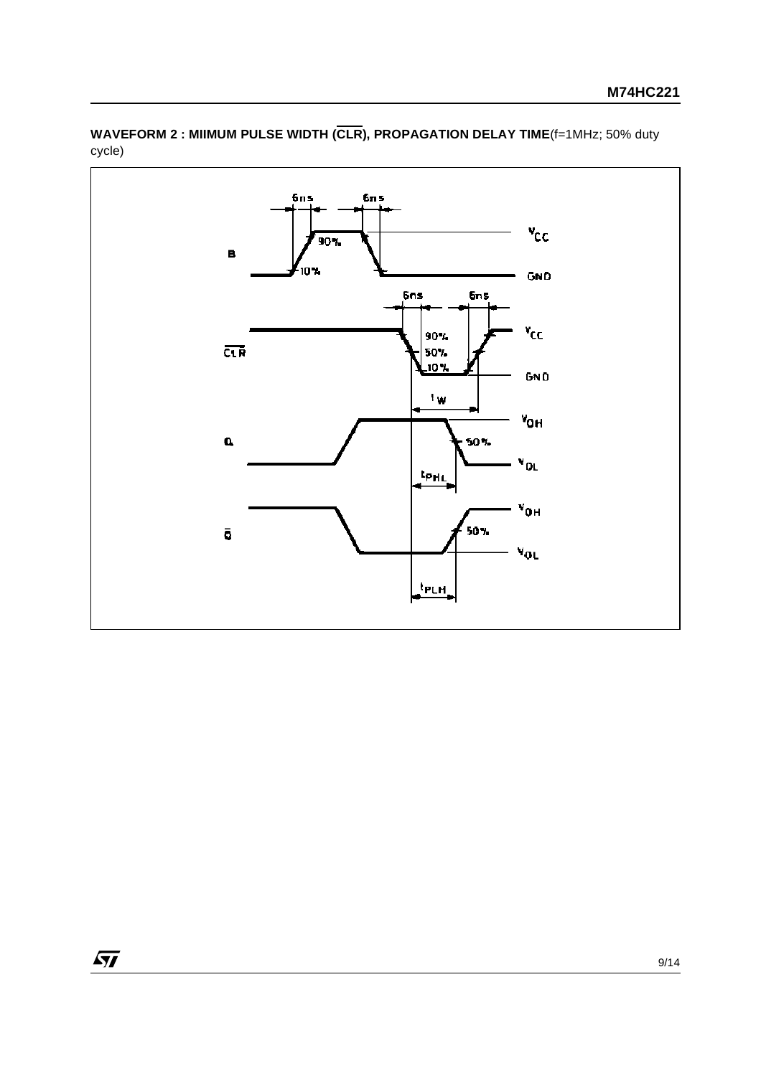

**WAVEFORM 2 : MIIMUM PULSE WIDTH (CLR), PROPAGATION DELAY TIME**(f=1MHz; 50% duty cycle)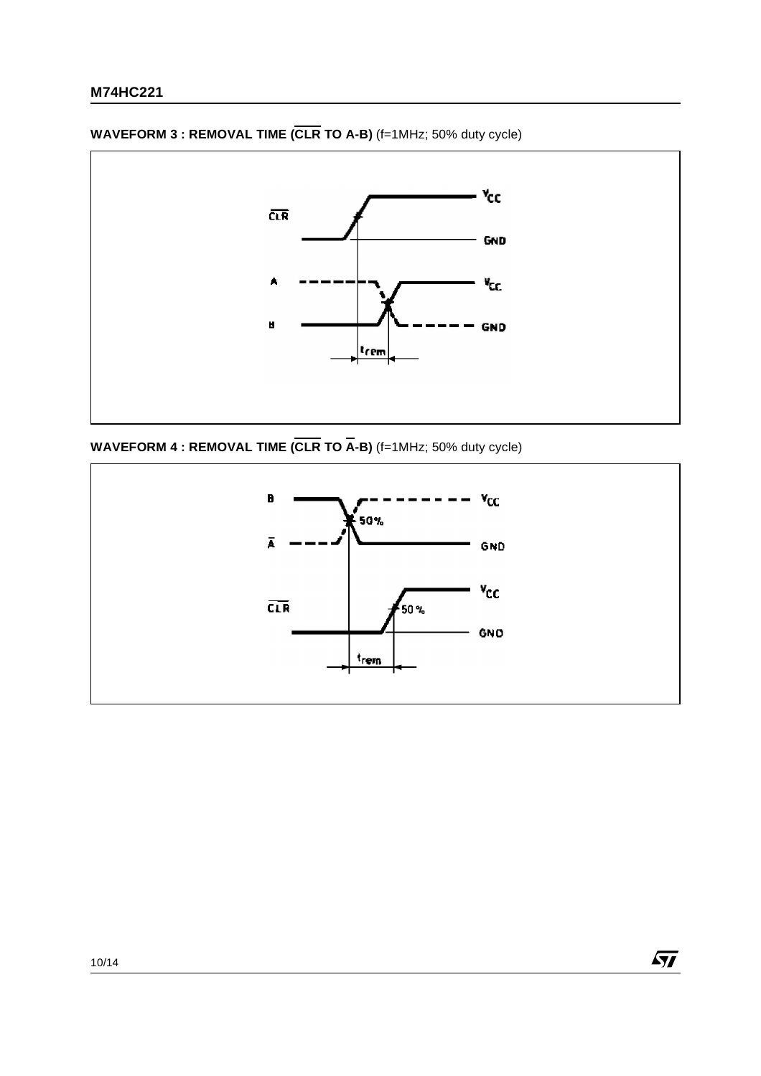

**WAVEFORM 3 : REMOVAL TIME (CLR TO A-B)** (f=1MHz; 50% duty cycle)

**WAVEFORM 4 : REMOVAL TIME (CLR TO A-B)** (f=1MHz; 50% duty cycle)



 $\sqrt{M}$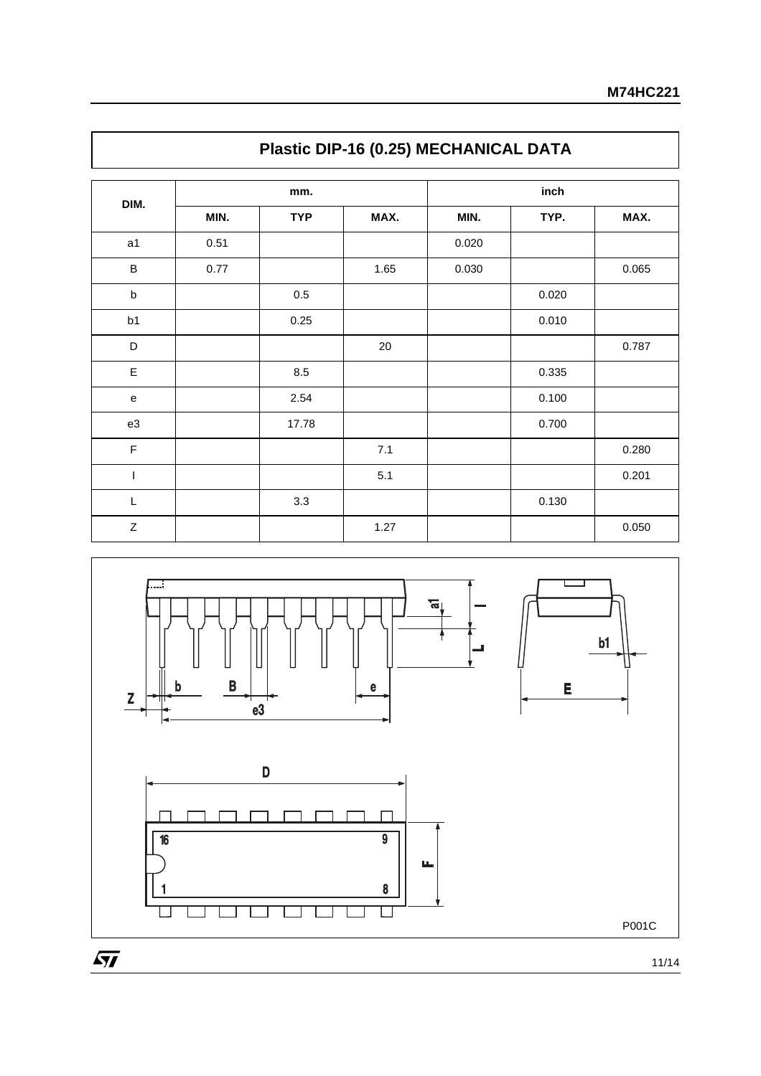|                |      | mm.        |        |       |       |       |
|----------------|------|------------|--------|-------|-------|-------|
| DIM.           | MIN. | <b>TYP</b> | MAX.   | MIN.  | TYP.  | MAX.  |
| a1             | 0.51 |            |        | 0.020 |       |       |
| $\sf B$        | 0.77 |            | 1.65   | 0.030 |       | 0.065 |
| $\sf b$        |      | 0.5        |        |       | 0.020 |       |
| b1             |      | 0.25       |        |       | 0.010 |       |
| D              |      |            | $20\,$ |       |       | 0.787 |
| $\mathsf E$    |      | 8.5        |        |       | 0.335 |       |
| e              |      | 2.54       |        |       | 0.100 |       |
| e3             |      | 17.78      |        |       | 0.700 |       |
| $\mathsf F$    |      |            | 7.1    |       |       | 0.280 |
| $\overline{1}$ |      |            | 5.1    |       |       | 0.201 |
| L              |      | 3.3        |        |       | 0.130 |       |
| Z              |      |            | 1.27   |       |       | 0.050 |





11/14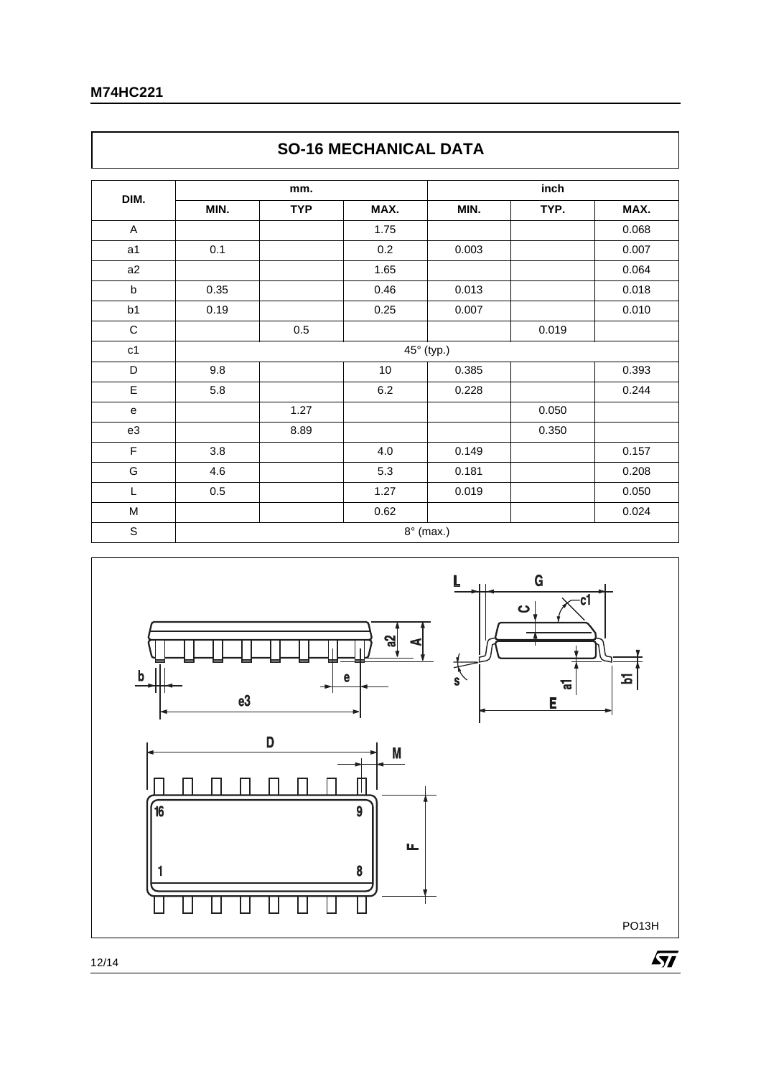$\Gamma$ 

| DIM.        |         | mm.        |         |                  | inch  |       |  |  |
|-------------|---------|------------|---------|------------------|-------|-------|--|--|
|             | MIN.    | <b>TYP</b> | MAX.    | MIN.             | TYP.  | MAX.  |  |  |
| Α           |         |            | 1.75    |                  |       | 0.068 |  |  |
| a1          | 0.1     |            | 0.2     | 0.003            |       | 0.007 |  |  |
| a2          |         |            | 1.65    |                  |       | 0.064 |  |  |
| b           | 0.35    |            | 0.46    | 0.013            |       | 0.018 |  |  |
| b1          | 0.19    |            | 0.25    | 0.007            |       | 0.010 |  |  |
| $\mathsf C$ |         | $0.5\,$    |         |                  | 0.019 |       |  |  |
| c1          |         |            |         | 45° (typ.)       |       |       |  |  |
| D           | 9.8     |            | $10$    | 0.385            |       | 0.393 |  |  |
| E           | 5.8     |            | $6.2\,$ | 0.228            |       | 0.244 |  |  |
| ${\bf e}$   |         | 1.27       |         |                  | 0.050 |       |  |  |
| e3          |         | 8.89       |         |                  | 0.350 |       |  |  |
| F           | 3.8     |            | 4.0     | 0.149            |       | 0.157 |  |  |
| G           | 4.6     |            | 5.3     | 0.181            |       | 0.208 |  |  |
| L           | $0.5\,$ |            | 1.27    | 0.019            |       | 0.050 |  |  |
| M           |         |            | 0.62    |                  |       | 0.024 |  |  |
| $\mathbb S$ |         |            |         | $8^\circ$ (max.) |       |       |  |  |



### **SO-16 MECHANICAL DATA**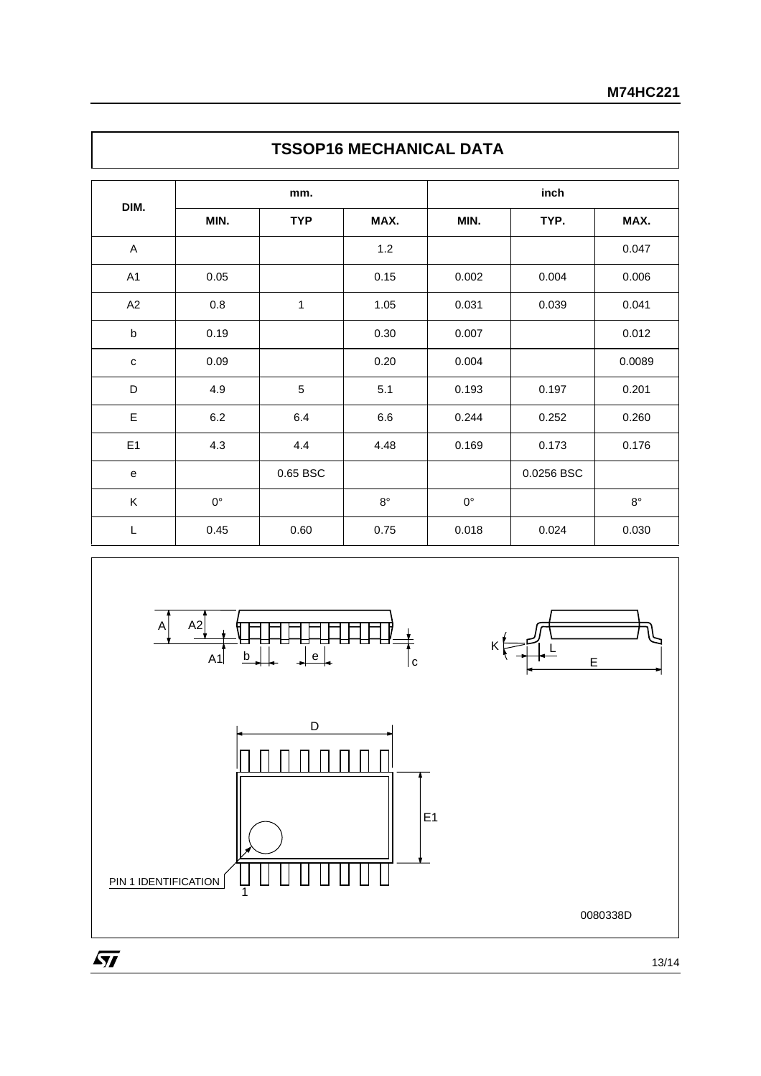|                |             | mm.          |             |             |            |             |
|----------------|-------------|--------------|-------------|-------------|------------|-------------|
| DIM.           | MIN.        | <b>TYP</b>   | MAX.        | MIN.        | TYP.       | MAX.        |
| A              |             |              | 1.2         |             |            | 0.047       |
| A1             | 0.05        |              | 0.15        | 0.002       | 0.004      | 0.006       |
| A2             | 0.8         | $\mathbf{1}$ | 1.05        | 0.031       | 0.039      | 0.041       |
| $\sf b$        | 0.19        |              | 0.30        | 0.007       |            | 0.012       |
| $\mathbf c$    | 0.09        |              | 0.20        | 0.004       |            | 0.0089      |
| D              | 4.9         | 5            | 5.1         | 0.193       | 0.197      | 0.201       |
| E              | $6.2\,$     | $6.4\,$      | $6.6\,$     | 0.244       | 0.252      | 0.260       |
| E <sub>1</sub> | 4.3         | 4.4          | 4.48        | 0.169       | 0.173      | 0.176       |
| ${\bf e}$      |             | 0.65 BSC     |             |             | 0.0256 BSC |             |
| Κ              | $0^{\circ}$ |              | $8^{\circ}$ | $0^{\circ}$ |            | $8^{\circ}$ |
| L              | 0.45        | 0.60         | 0.75        | 0.018       | 0.024      | 0.030       |









0080338D

 $\sqrt{M}$